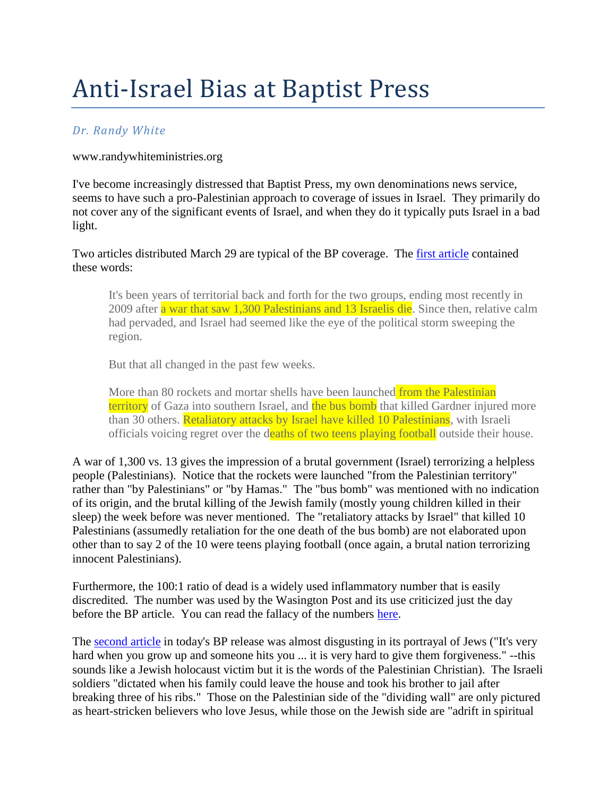## Anti-Israel Bias at Baptist Press

## *Dr. Randy White*

## www.randywhiteministries.org

I've become increasingly distressed that Baptist Press, my own denominations news service, seems to have such a pro-Palestinian approach to coverage of issues in Israel. They primarily do not cover any of the significant events of Israel, and when they do it typically puts Israel in a bad light.

Two articles distributed March 29 are typical of the BP coverage. The [first article](http://www.bpnews.net/BPnews.asp?ID=34935) contained these words:

It's been years of territorial back and forth for the two groups, ending most recently in 2009 after a war that saw 1,300 Palestinians and 13 Israelis die. Since then, relative calm had pervaded, and Israel had seemed like the eye of the political storm sweeping the region.

But that all changed in the past few weeks.

More than 80 rockets and mortar shells have been launched from the Palestinian territory of Gaza into southern Israel, and the bus bomb that killed Gardner injured more than 30 others. Retaliatory attacks by Israel have killed 10 Palestinians, with Israeli officials voicing regret over the deaths of two teens playing football outside their house.

A war of 1,300 vs. 13 gives the impression of a brutal government (Israel) terrorizing a helpless people (Palestinians). Notice that the rockets were launched "from the Palestinian territory" rather than "by Palestinians" or "by Hamas." The "bus bomb" was mentioned with no indication of its origin, and the brutal killing of the Jewish family (mostly young children killed in their sleep) the week before was never mentioned. The "retaliatory attacks by Israel" that killed 10 Palestinians (assumedly retaliation for the one death of the bus bomb) are not elaborated upon other than to say 2 of the 10 were teens playing football (once again, a brutal nation terrorizing innocent Palestinians).

Furthermore, the 100:1 ratio of dead is a widely used inflammatory number that is easily discredited. The number was used by the Wasington Post and its use criticized just the day before the BP article. You can read the fallacy of the numbers [here.](http://freerepublic.com/focus/f-news/2696052/posts)

The [second article](http://www.bpnews.net/BPnews.asp?ID=34936) in today's BP release was almost disgusting in its portrayal of Jews ("It's very hard when you grow up and someone hits you ... it is very hard to give them forgiveness." --this sounds like a Jewish holocaust victim but it is the words of the Palestinian Christian). The Israeli soldiers "dictated when his family could leave the house and took his brother to jail after breaking three of his ribs." Those on the Palestinian side of the "dividing wall" are only pictured as heart-stricken believers who love Jesus, while those on the Jewish side are "adrift in spiritual